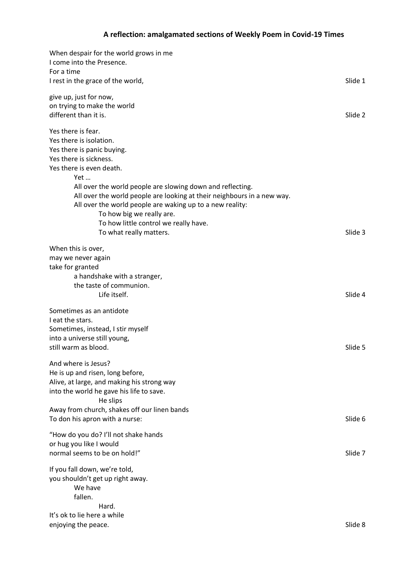| When despair for the world grows in me<br>I come into the Presence.<br>For a time      |         |
|----------------------------------------------------------------------------------------|---------|
| I rest in the grace of the world,                                                      | Slide 1 |
| give up, just for now,                                                                 |         |
| on trying to make the world                                                            |         |
| different than it is.                                                                  | Slide 2 |
| Yes there is fear.                                                                     |         |
| Yes there is isolation.                                                                |         |
| Yes there is panic buying.                                                             |         |
| Yes there is sickness.                                                                 |         |
| Yes there is even death.                                                               |         |
| Yet                                                                                    |         |
| All over the world people are slowing down and reflecting.                             |         |
| All over the world people are looking at their neighbours in a new way.                |         |
| All over the world people are waking up to a new reality:<br>To how big we really are. |         |
| To how little control we really have.                                                  |         |
| To what really matters.                                                                | Slide 3 |
|                                                                                        |         |
| When this is over,                                                                     |         |
| may we never again                                                                     |         |
| take for granted                                                                       |         |
| a handshake with a stranger,                                                           |         |
| the taste of communion.                                                                |         |
| Life itself.                                                                           | Slide 4 |
| Sometimes as an antidote                                                               |         |
| I eat the stars.                                                                       |         |
| Sometimes, instead, I stir myself                                                      |         |
| into a universe still young,                                                           |         |
| still warm as blood.                                                                   | Slide 5 |
|                                                                                        |         |
| And where is Jesus?                                                                    |         |
| He is up and risen, long before,                                                       |         |
| Alive, at large, and making his strong way                                             |         |
| into the world he gave his life to save.                                               |         |
| He slips                                                                               |         |
| Away from church, shakes off our linen bands                                           | Slide 6 |
| To don his apron with a nurse:                                                         |         |
| "How do you do? I'll not shake hands                                                   |         |
| or hug you like I would                                                                |         |
| normal seems to be on hold!"                                                           | Slide 7 |
|                                                                                        |         |
| If you fall down, we're told,                                                          |         |
| you shouldn't get up right away.<br>We have                                            |         |
| fallen.                                                                                |         |
| Hard.                                                                                  |         |
| It's ok to lie here a while                                                            |         |
| enjoying the peace.                                                                    | Slide 8 |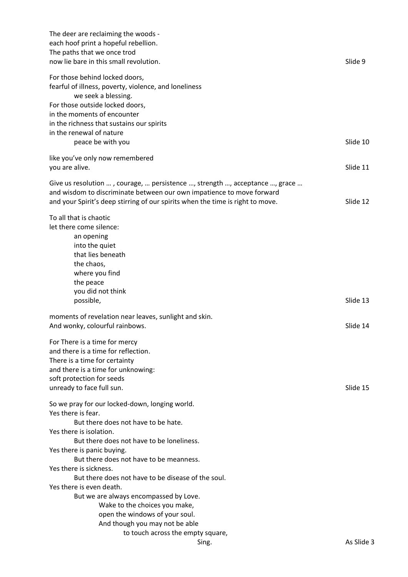| The deer are reclaiming the woods -<br>each hoof print a hopeful rebellion.<br>The paths that we once trod<br>now lie bare in this small revolution.                                                                                                                                               | Slide 9    |
|----------------------------------------------------------------------------------------------------------------------------------------------------------------------------------------------------------------------------------------------------------------------------------------------------|------------|
| For those behind locked doors,<br>fearful of illness, poverty, violence, and loneliness<br>we seek a blessing.<br>For those outside locked doors,<br>in the moments of encounter<br>in the richness that sustains our spirits                                                                      |            |
| in the renewal of nature<br>peace be with you                                                                                                                                                                                                                                                      | Slide 10   |
| like you've only now remembered<br>you are alive.                                                                                                                                                                                                                                                  | Slide 11   |
| Give us resolution , courage,  persistence , strength , acceptance , grace<br>and wisdom to discriminate between our own impatience to move forward<br>and your Spirit's deep stirring of our spirits when the time is right to move.                                                              | Slide 12   |
| To all that is chaotic<br>let there come silence:<br>an opening<br>into the quiet<br>that lies beneath<br>the chaos,<br>where you find<br>the peace<br>you did not think<br>possible,                                                                                                              | Slide 13   |
| moments of revelation near leaves, sunlight and skin.<br>And wonky, colourful rainbows.                                                                                                                                                                                                            | Slide 14   |
| For There is a time for mercy<br>and there is a time for reflection.<br>There is a time for certainty<br>and there is a time for unknowing:<br>soft protection for seeds<br>unready to face full sun.                                                                                              | Slide 15   |
| So we pray for our locked-down, longing world.<br>Yes there is fear.<br>But there does not have to be hate.<br>Yes there is isolation.<br>But there does not have to be loneliness.<br>Yes there is panic buying.                                                                                  |            |
| But there does not have to be meanness.<br>Yes there is sickness.<br>But there does not have to be disease of the soul.<br>Yes there is even death.<br>But we are always encompassed by Love.<br>Wake to the choices you make,<br>open the windows of your soul.<br>And though you may not be able |            |
| to touch across the empty square,<br>Sing.                                                                                                                                                                                                                                                         | As Slide 3 |